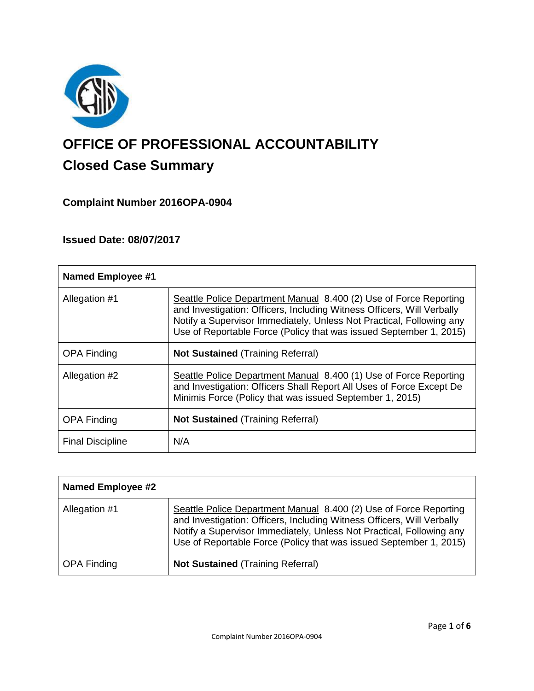

# **OFFICE OF PROFESSIONAL ACCOUNTABILITY Closed Case Summary**

## **Complaint Number 2016OPA-0904**

## **Issued Date: 08/07/2017**

| <b>Named Employee #1</b> |                                                                                                                                                                                                                                                                                           |
|--------------------------|-------------------------------------------------------------------------------------------------------------------------------------------------------------------------------------------------------------------------------------------------------------------------------------------|
| Allegation #1            | Seattle Police Department Manual 8.400 (2) Use of Force Reporting<br>and Investigation: Officers, Including Witness Officers, Will Verbally<br>Notify a Supervisor Immediately, Unless Not Practical, Following any<br>Use of Reportable Force (Policy that was issued September 1, 2015) |
| <b>OPA Finding</b>       | <b>Not Sustained (Training Referral)</b>                                                                                                                                                                                                                                                  |
| Allegation #2            | Seattle Police Department Manual 8.400 (1) Use of Force Reporting<br>and Investigation: Officers Shall Report All Uses of Force Except De<br>Minimis Force (Policy that was issued September 1, 2015)                                                                                     |
| <b>OPA Finding</b>       | <b>Not Sustained (Training Referral)</b>                                                                                                                                                                                                                                                  |
| <b>Final Discipline</b>  | N/A                                                                                                                                                                                                                                                                                       |

| <b>Named Employee #2</b> |                                                                                                                                                                                                                                                                                           |
|--------------------------|-------------------------------------------------------------------------------------------------------------------------------------------------------------------------------------------------------------------------------------------------------------------------------------------|
| Allegation #1            | Seattle Police Department Manual 8.400 (2) Use of Force Reporting<br>and Investigation: Officers, Including Witness Officers, Will Verbally<br>Notify a Supervisor Immediately, Unless Not Practical, Following any<br>Use of Reportable Force (Policy that was issued September 1, 2015) |
| <b>OPA Finding</b>       | <b>Not Sustained (Training Referral)</b>                                                                                                                                                                                                                                                  |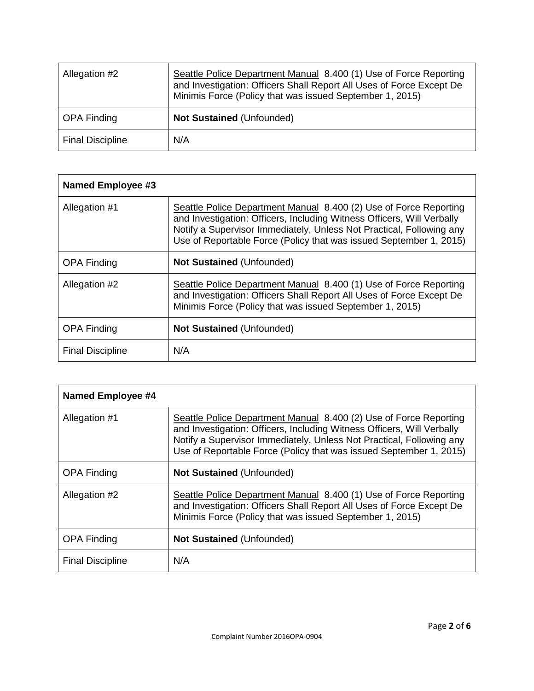| Allegation #2           | Seattle Police Department Manual 8.400 (1) Use of Force Reporting<br>and Investigation: Officers Shall Report All Uses of Force Except De<br>Minimis Force (Policy that was issued September 1, 2015) |
|-------------------------|-------------------------------------------------------------------------------------------------------------------------------------------------------------------------------------------------------|
| <b>OPA Finding</b>      | Not Sustained (Unfounded)                                                                                                                                                                             |
| <b>Final Discipline</b> | N/A                                                                                                                                                                                                   |

| <b>Named Employee #3</b> |                                                                                                                                                                                                                                                                                           |
|--------------------------|-------------------------------------------------------------------------------------------------------------------------------------------------------------------------------------------------------------------------------------------------------------------------------------------|
| Allegation #1            | Seattle Police Department Manual 8.400 (2) Use of Force Reporting<br>and Investigation: Officers, Including Witness Officers, Will Verbally<br>Notify a Supervisor Immediately, Unless Not Practical, Following any<br>Use of Reportable Force (Policy that was issued September 1, 2015) |
| <b>OPA Finding</b>       | <b>Not Sustained (Unfounded)</b>                                                                                                                                                                                                                                                          |
| Allegation #2            | Seattle Police Department Manual 8.400 (1) Use of Force Reporting<br>and Investigation: Officers Shall Report All Uses of Force Except De<br>Minimis Force (Policy that was issued September 1, 2015)                                                                                     |
| <b>OPA Finding</b>       | <b>Not Sustained (Unfounded)</b>                                                                                                                                                                                                                                                          |
| <b>Final Discipline</b>  | N/A                                                                                                                                                                                                                                                                                       |

| <b>Named Employee #4</b> |                                                                                                                                                                                                                                                                                           |
|--------------------------|-------------------------------------------------------------------------------------------------------------------------------------------------------------------------------------------------------------------------------------------------------------------------------------------|
| Allegation #1            | Seattle Police Department Manual 8.400 (2) Use of Force Reporting<br>and Investigation: Officers, Including Witness Officers, Will Verbally<br>Notify a Supervisor Immediately, Unless Not Practical, Following any<br>Use of Reportable Force (Policy that was issued September 1, 2015) |
| <b>OPA Finding</b>       | <b>Not Sustained (Unfounded)</b>                                                                                                                                                                                                                                                          |
| Allegation #2            | Seattle Police Department Manual 8.400 (1) Use of Force Reporting<br>and Investigation: Officers Shall Report All Uses of Force Except De<br>Minimis Force (Policy that was issued September 1, 2015)                                                                                     |
| <b>OPA Finding</b>       | <b>Not Sustained (Unfounded)</b>                                                                                                                                                                                                                                                          |
| <b>Final Discipline</b>  | N/A                                                                                                                                                                                                                                                                                       |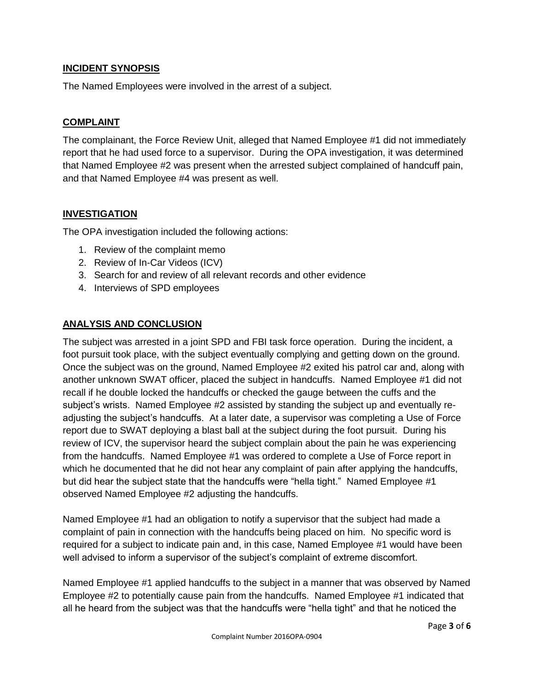### **INCIDENT SYNOPSIS**

The Named Employees were involved in the arrest of a subject.

### **COMPLAINT**

The complainant, the Force Review Unit, alleged that Named Employee #1 did not immediately report that he had used force to a supervisor. During the OPA investigation, it was determined that Named Employee #2 was present when the arrested subject complained of handcuff pain, and that Named Employee #4 was present as well.

### **INVESTIGATION**

The OPA investigation included the following actions:

- 1. Review of the complaint memo
- 2. Review of In-Car Videos (ICV)
- 3. Search for and review of all relevant records and other evidence
- 4. Interviews of SPD employees

### **ANALYSIS AND CONCLUSION**

The subject was arrested in a joint SPD and FBI task force operation. During the incident, a foot pursuit took place, with the subject eventually complying and getting down on the ground. Once the subject was on the ground, Named Employee #2 exited his patrol car and, along with another unknown SWAT officer, placed the subject in handcuffs. Named Employee #1 did not recall if he double locked the handcuffs or checked the gauge between the cuffs and the subject's wrists. Named Employee #2 assisted by standing the subject up and eventually readjusting the subject's handcuffs. At a later date, a supervisor was completing a Use of Force report due to SWAT deploying a blast ball at the subject during the foot pursuit. During his review of ICV, the supervisor heard the subject complain about the pain he was experiencing from the handcuffs. Named Employee #1 was ordered to complete a Use of Force report in which he documented that he did not hear any complaint of pain after applying the handcuffs, but did hear the subject state that the handcuffs were "hella tight." Named Employee #1 observed Named Employee #2 adjusting the handcuffs.

Named Employee #1 had an obligation to notify a supervisor that the subject had made a complaint of pain in connection with the handcuffs being placed on him. No specific word is required for a subject to indicate pain and, in this case, Named Employee #1 would have been well advised to inform a supervisor of the subject's complaint of extreme discomfort.

Named Employee #1 applied handcuffs to the subject in a manner that was observed by Named Employee #2 to potentially cause pain from the handcuffs. Named Employee #1 indicated that all he heard from the subject was that the handcuffs were "hella tight" and that he noticed the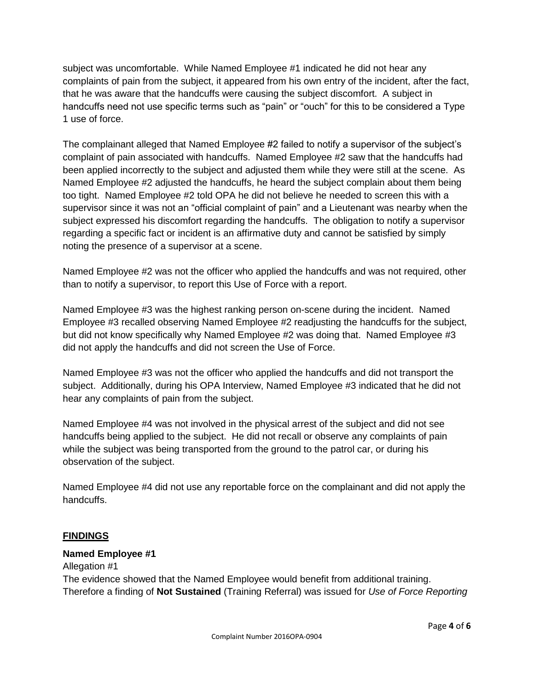subject was uncomfortable. While Named Employee #1 indicated he did not hear any complaints of pain from the subject, it appeared from his own entry of the incident, after the fact, that he was aware that the handcuffs were causing the subject discomfort. A subject in handcuffs need not use specific terms such as "pain" or "ouch" for this to be considered a Type 1 use of force.

The complainant alleged that Named Employee #2 failed to notify a supervisor of the subject's complaint of pain associated with handcuffs. Named Employee #2 saw that the handcuffs had been applied incorrectly to the subject and adjusted them while they were still at the scene. As Named Employee #2 adjusted the handcuffs, he heard the subject complain about them being too tight. Named Employee #2 told OPA he did not believe he needed to screen this with a supervisor since it was not an "official complaint of pain" and a Lieutenant was nearby when the subject expressed his discomfort regarding the handcuffs. The obligation to notify a supervisor regarding a specific fact or incident is an affirmative duty and cannot be satisfied by simply noting the presence of a supervisor at a scene.

Named Employee #2 was not the officer who applied the handcuffs and was not required, other than to notify a supervisor, to report this Use of Force with a report.

Named Employee #3 was the highest ranking person on-scene during the incident. Named Employee #3 recalled observing Named Employee #2 readjusting the handcuffs for the subject, but did not know specifically why Named Employee #2 was doing that. Named Employee #3 did not apply the handcuffs and did not screen the Use of Force.

Named Employee #3 was not the officer who applied the handcuffs and did not transport the subject. Additionally, during his OPA Interview, Named Employee #3 indicated that he did not hear any complaints of pain from the subject.

Named Employee #4 was not involved in the physical arrest of the subject and did not see handcuffs being applied to the subject. He did not recall or observe any complaints of pain while the subject was being transported from the ground to the patrol car, or during his observation of the subject.

Named Employee #4 did not use any reportable force on the complainant and did not apply the handcuffs.

#### **FINDINGS**

#### **Named Employee #1**

Allegation #1 The evidence showed that the Named Employee would benefit from additional training. Therefore a finding of **Not Sustained** (Training Referral) was issued for *Use of Force Reporting*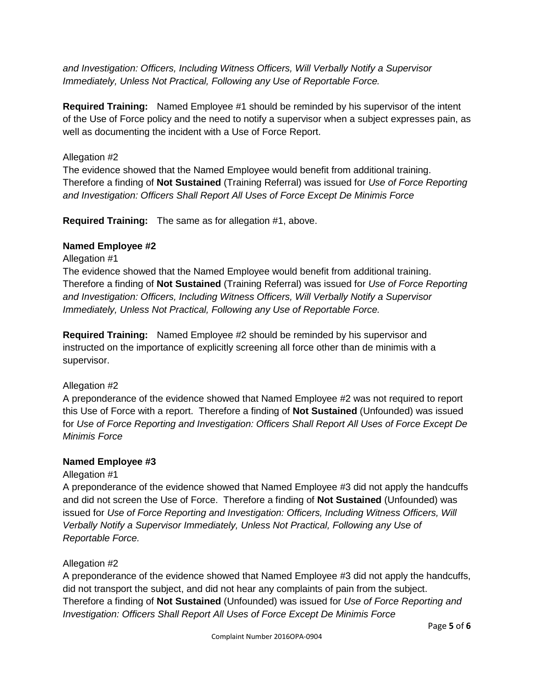*and Investigation: Officers, Including Witness Officers, Will Verbally Notify a Supervisor Immediately, Unless Not Practical, Following any Use of Reportable Force.*

**Required Training:** Named Employee #1 should be reminded by his supervisor of the intent of the Use of Force policy and the need to notify a supervisor when a subject expresses pain, as well as documenting the incident with a Use of Force Report.

## Allegation #2

The evidence showed that the Named Employee would benefit from additional training. Therefore a finding of **Not Sustained** (Training Referral) was issued for *Use of Force Reporting and Investigation: Officers Shall Report All Uses of Force Except De Minimis Force*

**Required Training:** The same as for allegation #1, above.

## **Named Employee #2**

## Allegation #1

The evidence showed that the Named Employee would benefit from additional training. Therefore a finding of **Not Sustained** (Training Referral) was issued for *Use of Force Reporting and Investigation: Officers, Including Witness Officers, Will Verbally Notify a Supervisor Immediately, Unless Not Practical, Following any Use of Reportable Force.*

**Required Training:** Named Employee #2 should be reminded by his supervisor and instructed on the importance of explicitly screening all force other than de minimis with a supervisor.

## Allegation #2

A preponderance of the evidence showed that Named Employee #2 was not required to report this Use of Force with a report. Therefore a finding of **Not Sustained** (Unfounded) was issued for *Use of Force Reporting and Investigation: Officers Shall Report All Uses of Force Except De Minimis Force*

## **Named Employee #3**

## Allegation #1

A preponderance of the evidence showed that Named Employee #3 did not apply the handcuffs and did not screen the Use of Force. Therefore a finding of **Not Sustained** (Unfounded) was issued for *Use of Force Reporting and Investigation: Officers, Including Witness Officers, Will Verbally Notify a Supervisor Immediately, Unless Not Practical, Following any Use of Reportable Force.*

## Allegation #2

A preponderance of the evidence showed that Named Employee #3 did not apply the handcuffs, did not transport the subject, and did not hear any complaints of pain from the subject. Therefore a finding of **Not Sustained** (Unfounded) was issued for *Use of Force Reporting and Investigation: Officers Shall Report All Uses of Force Except De Minimis Force*